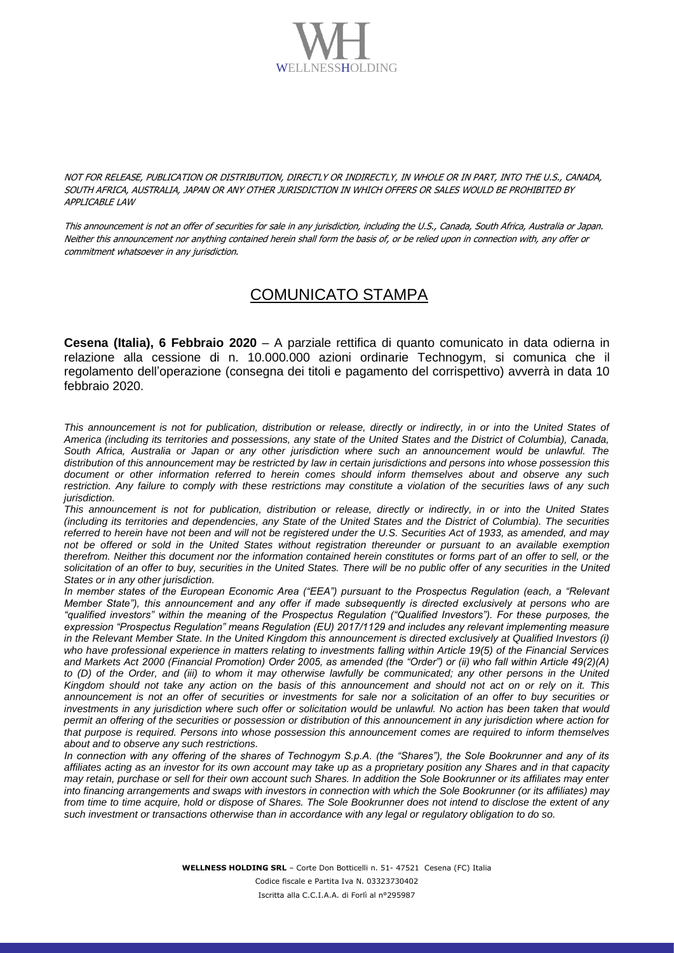

NOT FOR RELEASE, PUBLICATION OR DISTRIBUTION, DIRECTLY OR INDIRECTLY, IN WHOLE OR IN PART, INTO THE U.S., CANADA, SOUTH AFRICA, AUSTRALIA, JAPAN OR ANY OTHER JURISDICTION IN WHICH OFFERS OR SALES WOULD BE PROHIBITED BY APPLICABLE LAW

This announcement is not an offer of securities for sale in any jurisdiction, including the U.S., Canada, South Africa, Australia or Japan. Neither this announcement nor anything contained herein shall form the basis of, or be relied upon in connection with, any offer or commitment whatsoever in any jurisdiction.

## COMUNICATO STAMPA

**Cesena (Italia), 6 Febbraio 2020** – A parziale rettifica di quanto comunicato in data odierna in relazione alla cessione di n. 10.000.000 azioni ordinarie Technogym, si comunica che il regolamento dell'operazione (consegna dei titoli e pagamento del corrispettivo) avverrà in data 10 febbraio 2020.

*This announcement is not for publication, distribution or release, directly or indirectly, in or into the United States of America (including its territories and possessions, any state of the United States and the District of Columbia), Canada, South Africa, Australia or Japan or any other jurisdiction where such an announcement would be unlawful. The distribution of this announcement may be restricted by law in certain jurisdictions and persons into whose possession this document or other information referred to herein comes should inform themselves about and observe any such restriction. Any failure to comply with these restrictions may constitute a violation of the securities laws of any such jurisdiction.*

*This announcement is not for publication, distribution or release, directly or indirectly, in or into the United States (including its territories and dependencies, any State of the United States and the District of Columbia). The securities referred to herein have not been and will not be registered under the U.S. Securities Act of 1933, as amended, and may not be offered or sold in the United States without registration thereunder or pursuant to an available exemption therefrom. Neither this document nor the information contained herein constitutes or forms part of an offer to sell, or the solicitation of an offer to buy, securities in the United States. There will be no public offer of any securities in the United States or in any other jurisdiction.*

*In member states of the European Economic Area ("EEA") pursuant to the Prospectus Regulation (each, a "Relevant Member State"), this announcement and any offer if made subsequently is directed exclusively at persons who are "qualified investors" within the meaning of the Prospectus Regulation ("Qualified Investors"). For these purposes, the expression "Prospectus Regulation" means Regulation (EU) 2017/1129 and includes any relevant implementing measure in the Relevant Member State. In the United Kingdom this announcement is directed exclusively at Qualified Investors (i) who have professional experience in matters relating to investments falling within Article 19(5) of the Financial Services and Markets Act 2000 (Financial Promotion) Order 2005, as amended (the "Order") or (ii) who fall within Article 49(2)(A)*  to (D) of the Order, and (iii) to whom it may otherwise lawfully be communicated; any other persons in the United *Kingdom should not take any action on the basis of this announcement and should not act on or rely on it. This announcement is not an offer of securities or investments for sale nor a solicitation of an offer to buy securities or investments in any jurisdiction where such offer or solicitation would be unlawful. No action has been taken that would permit an offering of the securities or possession or distribution of this announcement in any jurisdiction where action for that purpose is required. Persons into whose possession this announcement comes are required to inform themselves about and to observe any such restrictions.*

*In connection with any offering of the shares of Technogym S.p.A. (the "Shares"), the Sole Bookrunner and any of its affiliates acting as an investor for its own account may take up as a proprietary position any Shares and in that capacity may retain, purchase or sell for their own account such Shares. In addition the Sole Bookrunner or its affiliates may enter into financing arrangements and swaps with investors in connection with which the Sole Bookrunner (or its affiliates) may from time to time acquire, hold or dispose of Shares. The Sole Bookrunner does not intend to disclose the extent of any such investment or transactions otherwise than in accordance with any legal or regulatory obligation to do so.*